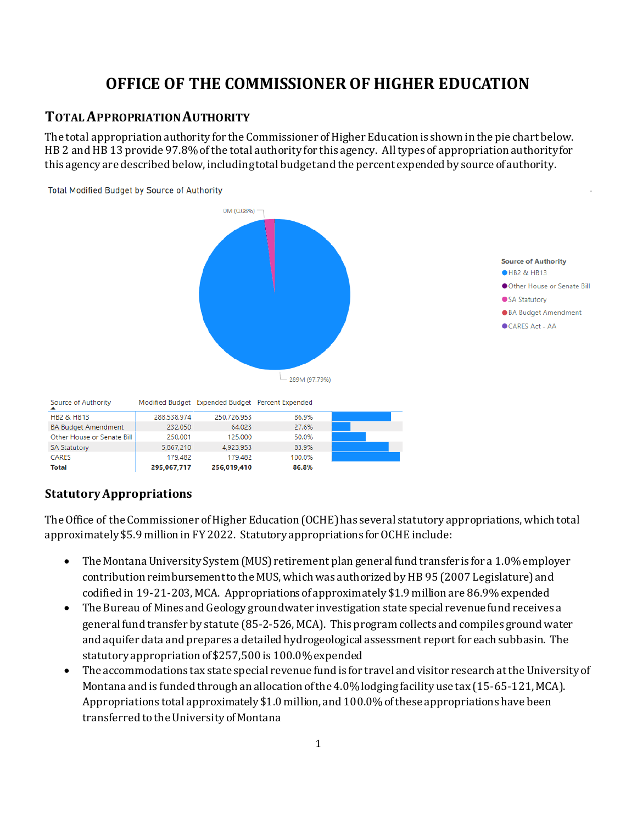# **OFFICE OF THE COMMISSIONER OF HIGHER EDUCATION**

# **TOTAL APPROPRIATION AUTHORITY**

The total appropriation authority for the Commissioner of Higher Education is shown in the pie chart below. HB 2 and HB 13 provide 97.8% of the total authority for this agency. All types of appropriation authority for this agency are described below, including total budget and the percent expended by source of authority.



**Statutory Appropriations**

The Office of the Commissioner of Higher Education (OCHE) has several statutory appropriations, which total approximately \$5.9 million in FY 2022. Statutory appropriations for OCHE include:

- The Montana University System (MUS) retirement plan general fund transfer is for a 1.0% employer contribution reimbursement to the MUS, which was authorized by HB 95 (2007 Legislature) and codified in 19-21-203, MCA. Appropriations of approximately \$1.9 million are 86.9% expended
- The Bureau of Mines and Geology groundwater investigation state special revenue fund receives a general fund transfer by statute (85-2-526, MCA). This program collects and compiles ground water and aquifer data and prepares a detailed hydrogeological assessment report for each subbasin. The statutory appropriation of \$257,500 is 100.0% expended
- The accommodations tax state special revenue fund is for travel and visitor research at the University of Montana and is funded through an allocation of the 4.0% lodging facility use tax (15-65-121, MCA). Appropriations total approximately \$1.0 million, and 100.0% of these appropriations have been transferred to the University of Montana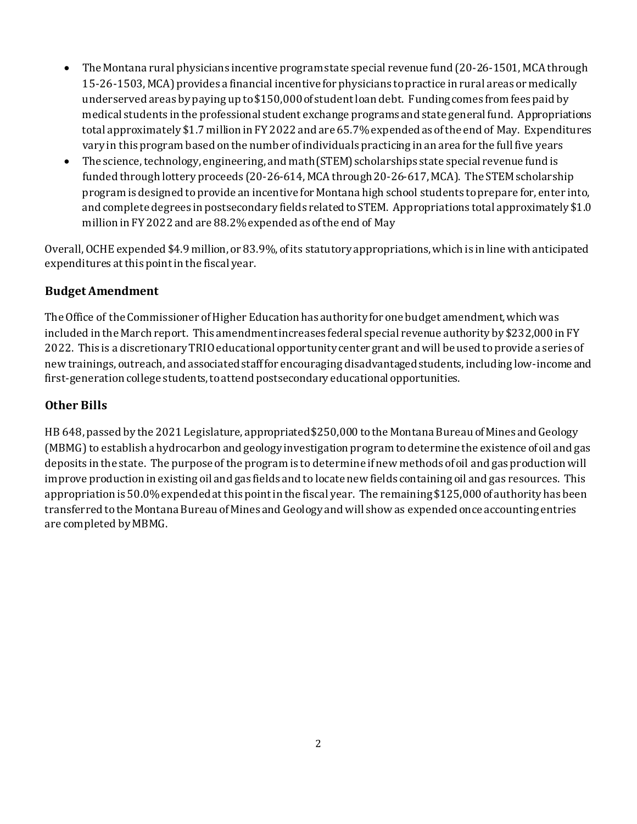- The Montana rural physicians incentive program state special revenue fund (20-26-1501, MCA through 15-26-1503, MCA) provides a financial incentive for physicians to practice in rural areas or medically underserved areas by paying up to \$150,000 of student loan debt. Funding comes from fees paid by medical students in the professional student exchange programs and state general fund. Appropriations total approximately \$1.7 million in FY 2022 and are 65.7% expended as ofthe end of May. Expenditures vary in this program based on the number of individuals practicing in an area for the full five years
- The science, technology, engineering, and math (STEM) scholarships state special revenue fund is funded through lottery proceeds (20-26-614, MCA through 20-26-617, MCA). The STEM scholarship program is designed to provide an incentive for Montana high school students to prepare for, enter into, and complete degrees in postsecondary fields related to STEM. Appropriations total approximately \$1.0 million in FY 2022 and are 88.2% expended as ofthe end of May

Overall, OCHE expended \$4.9 million, or 83.9%, of its statutory appropriations, which is in line with anticipated expenditures at this point in the fiscal year.

## **Budget Amendment**

The Office of the Commissioner of Higher Education has authority for one budget amendment, which was included in the March report. This amendment increases federal special revenue authority by \$232,000 in FY 2022. This is a discretionary TRIO educational opportunity center grant and will be used to provide a series of new trainings, outreach, and associated staff for encouraging disadvantaged students, including low-income and first-generation college students, to attend postsecondary educational opportunities.

## **Other Bills**

HB 648, passed by the 2021 Legislature, appropriated \$250,000 to the Montana Bureau of Mines and Geology (MBMG) to establish a hydrocarbon and geology investigation program to determine the existence of oil and gas deposits in the state. The purpose of the program is to determine if new methods of oil and gas productionwill improve production in existing oil and gas fields and to locate new fields containing oil and gas resources. This appropriation is 50.0% expended at this point in the fiscal year. The remaining \$125,000 of authority has been transferred to the Montana Bureau of Mines and Geology and will show as expended once accounting entries are completed by MBMG.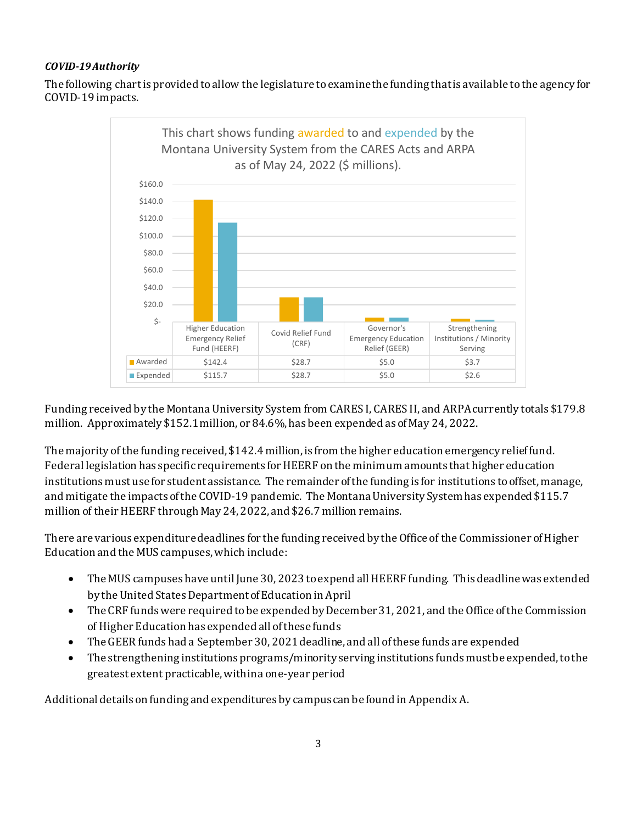#### *COVID-19 Authority*

The following chart is provided to allow the legislature to examine the funding that is available to the agency for COVID-19 impacts.



Funding received by the Montana University System from CARES I, CARES II, and ARPA currently totals \$179.8 million. Approximately \$152.1million, or 84.6%, has been expended as of May 24, 2022.

The majority of the funding received, \$142.4 million, is from the higher education emergency relief fund. Federal legislation has specific requirements for HEERF on the minimum amounts that higher education institutions must use for student assistance. The remainder of the funding is for institutions to offset, manage, and mitigate the impacts of the COVID-19 pandemic. The Montana University System has expended \$115.7 million of their HEERF through May 24, 2022, and \$26.7 million remains.

There are various expenditure deadlines for the funding received by the Office of the Commissioner of Higher Education and the MUS campuses, which include:

- The MUS campuses have until June 30, 2023 toexpend allHEERF funding. This deadline was extended by the United States Department of Education in April
- The CRF funds were required to be expended by December 31, 2021, and the Office of the Commission of Higher Education has expended all of these funds
- The GEER funds had a September 30, 2021 deadline, and all of these funds are expended
- The strengthening institutions programs/minority serving institutions funds must be expended, to the greatest extent practicable, within a one-year period

Additional details on funding and expenditures by campus can be found in Appendix A.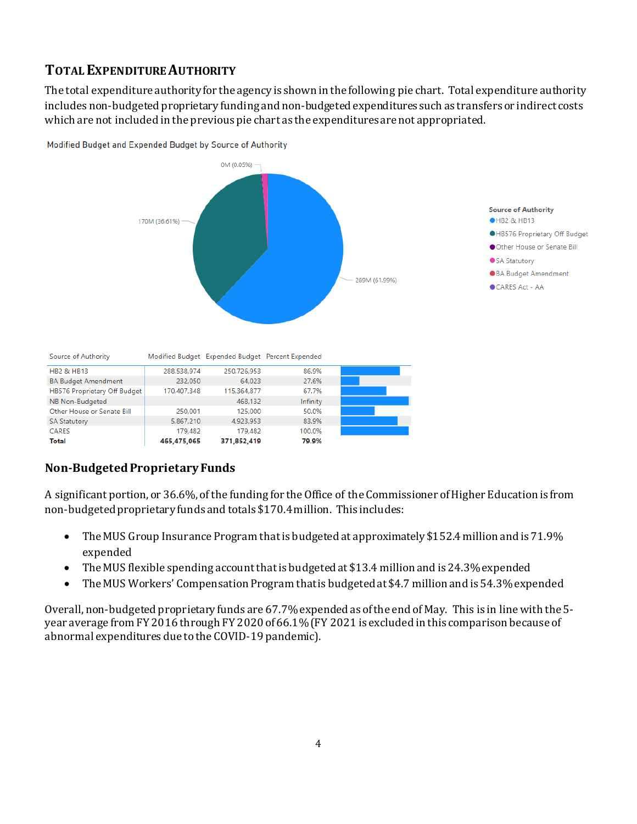# **TOTAL EXPENDITURE AUTHORITY**

The total expenditure authority for the agency is shown in the following pie chart. Total expenditure authority includes non-budgeted proprietary funding and non-budgeted expenditures such as transfers or indirect costs which are not included in the previous pie chart as the expenditures are not appropriated.



Modified Budget and Expended Budget by Source of Authority

| <b>Total</b>                 | 465.475.065 | 371,852,419 |          |  |
|------------------------------|-------------|-------------|----------|--|
|                              |             |             | 79.9%    |  |
| <b>CARES</b>                 | 179.482     | 179,482     | 100.0%   |  |
| <b>SA Statutory</b>          | 5.867.210   | 4.923.953   | 83.9%    |  |
| Other House or Senate Bill   | 250.001     | 125,000     | 50.0%    |  |
| NB Non-Budgeted              |             | 468.132     | Infinity |  |
| HB576 Proprietary Off Budget | 170,407,348 | 115,364,877 | 67.7%    |  |
| <b>BA Budget Amendment</b>   | 232.050     | 64.023      | 27.6%    |  |

# **Non-Budgeted Proprietary Funds**

**HB2 & HB13** 

A significant portion, or 36.6%, of the funding for the Office of the Commissioner of Higher Education is from non-budgeted proprietary funds and totals \$170.4million. This includes:

- The MUS Group Insurance Program that is budgeted at approximately \$152.4 million and is 71.9% expended
- The MUS flexible spending account that is budgeted at \$13.4 million and is 24.3% expended
- The MUS Workers' Compensation Program that is budgeted at \$4.7 million and is 54.3% expended

Overall, non-budgeted proprietary funds are 67.7% expended as of the end of May. This is in line with the 5 year average from FY 2016 through FY 2020 of 66.1% (FY 2021 is excluded in this comparison because of abnormal expenditures due to the COVID-19 pandemic).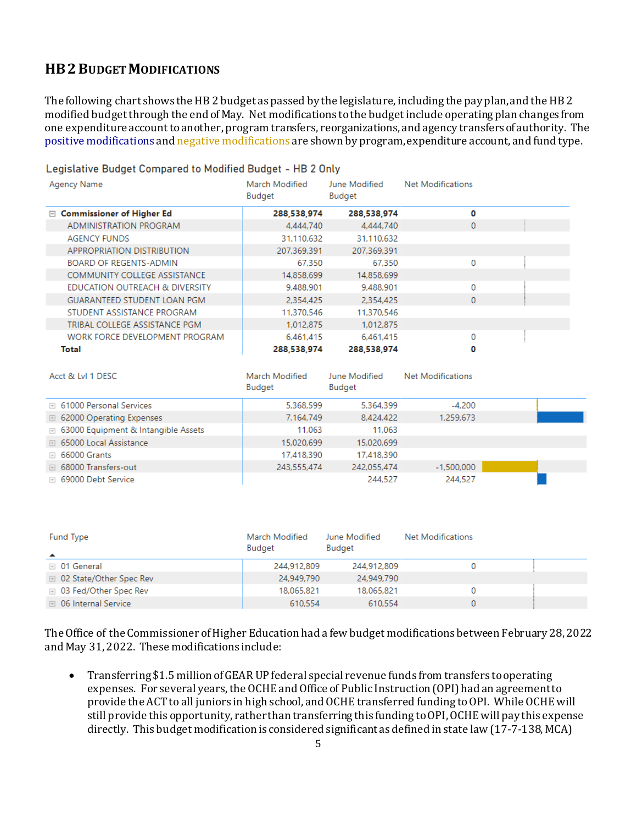# **HB2 BUDGET MODIFICATIONS**

The following chart shows the HB 2 budget as passed by the legislature, including the pay plan, and the HB 2 modified budgetthrough the end of May. Net modifications to the budget include operating plan changes from one expenditure account to another, program transfers, reorganizations, and agency transfers of authority. The positive modifications and negative modifications are shown by program, expenditure account, and fund type.

| Agency Name                         | March Modified<br><b>Budget</b> | June Modified<br>Budget | Net Modifications |  |
|-------------------------------------|---------------------------------|-------------------------|-------------------|--|
| $\Box$ Commissioner of Higher Ed    | 288,538,974                     | 288,538,974             | 0                 |  |
| ADMINISTRATION PROGRAM              | 4,444,740                       | 4,444,740               | $\Omega$          |  |
| <b>AGENCY FUNDS</b>                 | 31,110,632                      | 31,110,632              |                   |  |
| APPROPRIATION DISTRIBUTION          | 207,369,391                     | 207,369,391             |                   |  |
| <b>BOARD OF REGENTS-ADMIN</b>       | 67.350                          | 67.350                  | 0                 |  |
| <b>COMMUNITY COLLEGE ASSISTANCE</b> | 14,858,699                      | 14,858,699              |                   |  |
| EDUCATION OUTREACH & DIVERSITY      | 9,488,901                       | 9,488,901               | 0                 |  |
| <b>GUARANTEED STUDENT LOAN PGM</b>  | 2.354.425                       | 2.354.425               | $\mathbf{0}$      |  |
| STUDENT ASSISTANCE PROGRAM          | 11,370,546                      | 11,370,546              |                   |  |
| TRIBAL COLLEGE ASSISTANCE PGM       | 1.012.875                       | 1.012.875               |                   |  |
| WORK FORCE DEVELOPMENT PROGRAM      | 6,461,415                       | 6.461.415               | 0                 |  |
| Total                               | 288.538.974                     | 288,538,974             | 0                 |  |

Legislative Budget Compared to Modified Budget - HB 2 Only

| Acct & LvI 1 DESC                     | March Modified<br>Budget | June Modified<br>Budget | Net Modifications |  |
|---------------------------------------|--------------------------|-------------------------|-------------------|--|
| <b>E</b> 61000 Personal Services      | 5,368,599                | 5,364,399               | $-4,200$          |  |
| □ 62000 Operating Expenses            | 7,164,749                | 8,424,422               | 1,259,673         |  |
| □ 63000 Equipment & Intangible Assets | 11.063                   | 11.063                  |                   |  |
| □ 65000 Local Assistance              | 15.020.699               | 15,020,699              |                   |  |
| $\boxplus$ 66000 Grants               | 17,418,390               | 17,418,390              |                   |  |
| □ 68000 Transfers-out                 | 243,555,474              | 242,055,474             | $-1,500,000$      |  |
| □ 69000 Debt Service                  |                          | 244.527                 | 244.527           |  |

| Fund Type<br>$\blacktriangle$ | March Modified<br>Budget | June Modified<br>Budget | Net Modifications |  |
|-------------------------------|--------------------------|-------------------------|-------------------|--|
| ⊞ 01 General                  | 244,912,809              | 244,912,809             |                   |  |
| □ 02 State/Other Spec Rev     | 24,949,790               | 24,949,790              |                   |  |
| ⊞ 03 Fed/Other Spec Rev       | 18.065.821               | 18.065.821              |                   |  |
| <b>■ 06 Internal Service</b>  | 610.554                  | 610,554                 |                   |  |

The Office of the Commissioner of Higher Education had a fewbudget modifications between February 28, 2022 and May 31, 2022. These modifications include:

• Transferring \$1.5 million of GEAR UP federal special revenue funds from transfers to operating expenses. For several years, the OCHE and Office of Public Instruction (OPI)had an agreement to provide the ACT to all juniors in high school, and OCHE transferred funding to OPI. While OCHE will still provide this opportunity, rather than transferring this funding to OPI, OCHE will pay this expense directly. This budget modification is considered significant as defined in state law (17-7-138, MCA)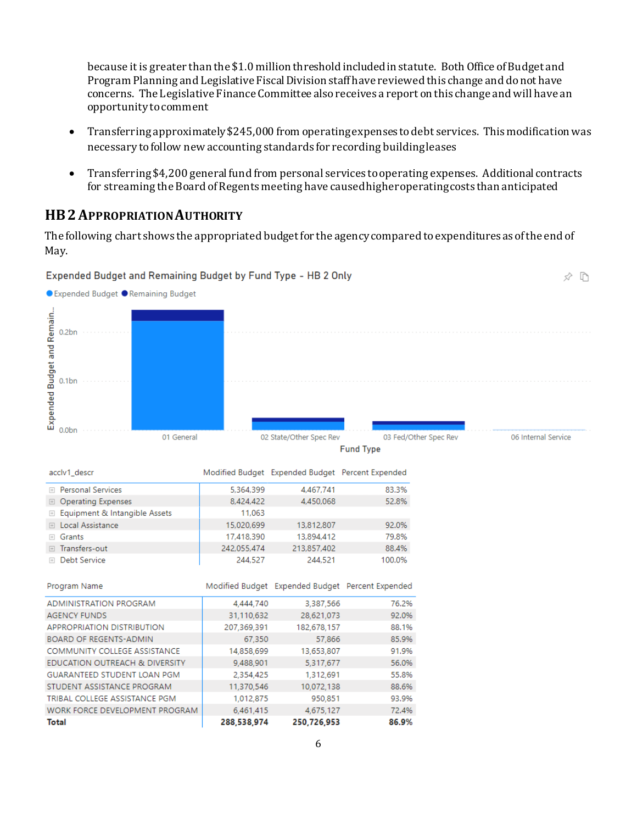because it is greater than the \$1.0 million threshold included in statute. Both Office of Budget and Program Planning and Legislative Fiscal Division staff have reviewed this change and do not have concerns. The Legislative Finance Committee also receives a report on this change and will have an opportunity to comment

- Transferring approximately \$245,000 from operating expenses to debt services. This modification was necessary to follow new accounting standards for recording building leases
- Transferring \$4,200 general fund from personal services to operating expenses. Additional contracts for streaming the Board of Regents meeting have caused higher operating costs than anticipated

≮ ħ

### **HB2APPROPRIATION AUTHORITY**

Expended Budget and Remaining Budget by Fund Type - HB 2 Only

The following chart shows the appropriated budget for the agency compared to expenditures as of the end of May.

#### ● Expended Budget ● Remaining Budget Expended Budget and Remain...  $0.2bn$  $0.1<sub>br</sub>$  $0.0<sub>bn</sub>$ 01 General 02 State/Other Spec Rev 03 Fed/Other Spec Rev 06 Internal Service **Fund Type** acclv1\_descr Modified Budget Expended Budget Percent Expended 83.3% **E** Personal Services 5.364.399 4.467.741 52.8% 4.450.068 **E** Operating Expenses 8,424,422 E Equipment & Intangible Assets 11,063 E Local Assistance 15,020,699 13,812,807 92.0% ⊞ Grants 17,418,390 13,894,412 79.8% 242,055,474 213,857,402 88.4% **⊞** Transfers-out **E** Debt Service 244,527 244,521 100.0% Modified Budget Expended Budget Percent Expended Program Name ADMINISTRATION PROGRAM 4,444,740 3,387,566 76.2% **AGENCY FUNDS** 31,110,632 28,621,073 92.0% **APPROPRIATION DISTRIBUTION** 207,369,391 182,678,157 88.1% BOARD OF REGENTS-ADMIN 67,350 57,866 85.9% COMMUNITY COLLEGE ASSISTANCE 14,858,699 13,653,807 91.9% EDUCATION OUTREACH & DIVERSITY 9,488,901 5,317,677 56.0% GUARANTEED STUDENT LOAN PGM 2,354,425 1,312,691 55.8% STUDENT ASSISTANCE PROGRAM 11,370,546 10,072,138 88.6% TRIBAL COLLEGE ASSISTANCE PGM 93.9% 1,012,875 950,851 WORK FORCE DEVELOPMENT PROGRAM 6,461,415 4,675,127 72.4% **Total** 288,538,974 250,726,953 86.9%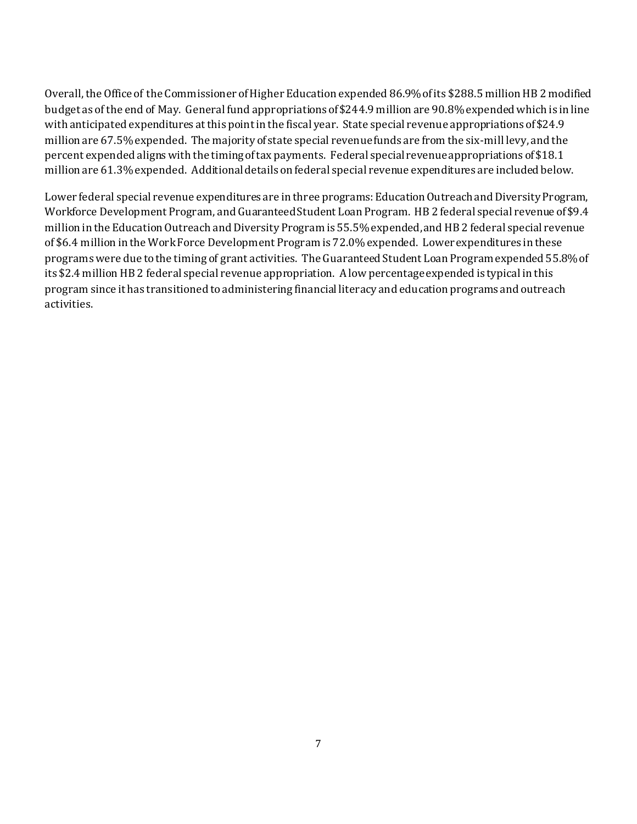Overall, theOffice of the Commissioner of Higher Education expended 86.9%of its \$288.5 million HB 2 modified budget as of the end of May. General fund appropriations of \$244.9 million are 90.8% expended which is in line with anticipated expenditures at this point in the fiscal year. State special revenue appropriations of \$24.9 million are 67.5% expended. The majority of state special revenue funds are from the six-mill levy, and the percent expended aligns with the timing of tax payments. Federal special revenueappropriations of \$18.1 million are 61.3% expended. Additional details on federal special revenue expenditures are included below.

Lower federal special revenue expenditures are in three programs: Education Outreach and Diversity Program, Workforce Development Program, and Guaranteed Student Loan Program. HB 2 federal special revenue of \$9.4 million in the Education Outreach and Diversity Program is 55.5% expended, and HB 2 federal special revenue of \$6.4 million in the Work Force Development Program is 72.0% expended. Lower expenditures in these programs were due to the timing of grant activities. The Guaranteed Student Loan Program expended 55.8% of its \$2.4 million HB 2 federal special revenue appropriation. A low percentage expended is typical in this program since it has transitioned to administering financial literacy and education programs and outreach activities.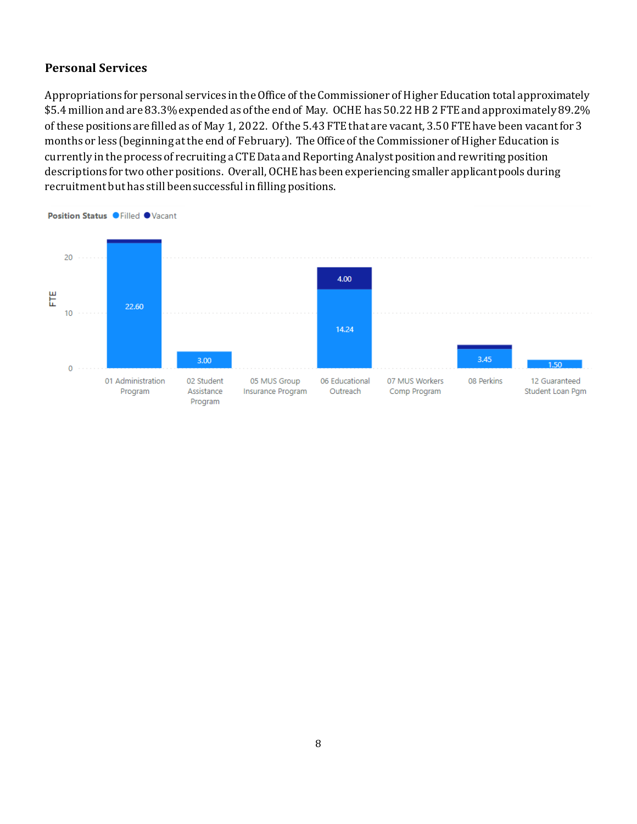## **Personal Services**

Appropriations for personal services in the Office of the Commissioner of Higher Education total approximately \$5.4 million and are 83.3% expended as of the end of May. OCHE has 50.22HB 2 FTE and approximately 89.2% of these positions are filled as of May 1, 2022. Of the 5.43 FTE that are vacant, 3.50 FTE have been vacant for 3 months or less (beginning at the end of February). The Office of the Commissioner of Higher Education is currently in the process of recruiting a CTE Data and Reporting Analyst position and rewriting position descriptions for two other positions. Overall, OCHE has been experiencing smaller applicant pools during recruitment but has still beensuccessful in filling positions.



Position Status O Filled OVacant